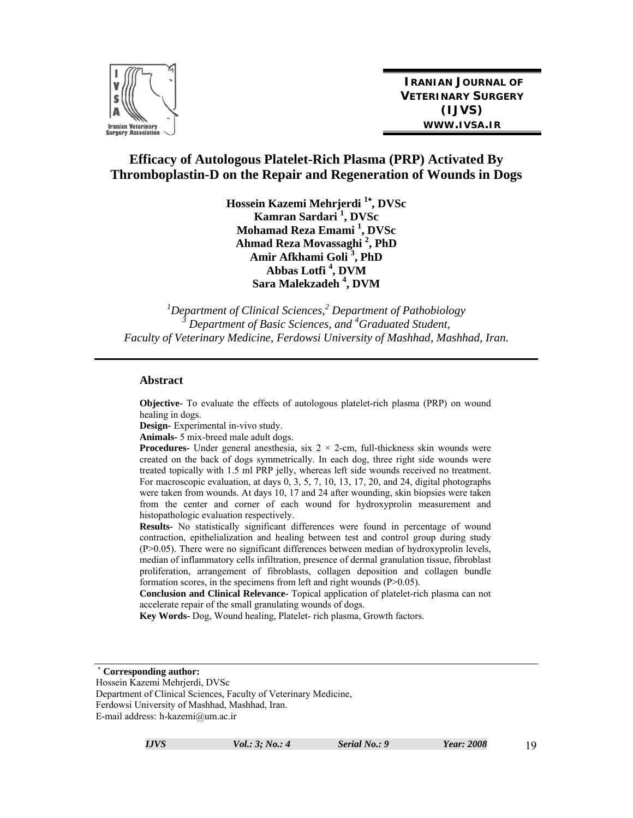

**IRANIAN JOURNAL OF VETERINARY SURGERY (IJVS) WWW.IVSA.IR**

# **Efficacy of Autologous Platelet-Rich Plasma (PRP) Activated By Thromboplastin-D on the Repair and Regeneration of Wounds in Dogs**

**Hossein Kazemi Mehrjerdi 1 , DVSc Kamran Sardari 1 , DVSc Mohamad Reza Emami 1 , DVSc Ahmad Reza Movassaghi <sup>2</sup> , PhD Amir Afkhami Goli <sup>3</sup> , PhD Abbas Lotfi <sup>4</sup> , DVM Sara Malekzadeh 4 , DVM** 

*1 Department of Clinical Sciences,<sup>2</sup> Department of Pathobiology*  <sup>3</sup> Department of Basic Sciences, and <sup>4</sup>Graduated Student, *Faculty of Veterinary Medicine, Ferdowsi University of Mashhad, Mashhad, Iran.* 

#### **Abstract**

**Objective-** To evaluate the effects of autologous platelet-rich plasma (PRP) on wound healing in dogs.

**Design-** Experimental in-vivo study.

**Animals-** 5 mix-breed male adult dogs.

**Procedures-** Under general anesthesia, six  $2 \times 2$ -cm, full-thickness skin wounds were created on the back of dogs symmetrically. In each dog, three right side wounds were treated topically with 1.5 ml PRP jelly, whereas left side wounds received no treatment. For macroscopic evaluation, at days 0, 3, 5, 7, 10, 13, 17, 20, and 24, digital photographs were taken from wounds. At days 10, 17 and 24 after wounding, skin biopsies were taken from the center and corner of each wound for hydroxyprolin measurement and histopathologic evaluation respectively.

**Results-** No statistically significant differences were found in percentage of wound contraction, epithelialization and healing between test and control group during study (P>0.05). There were no significant differences between median of hydroxyprolin levels, median of inflammatory cells infiltration, presence of dermal granulation tissue, fibroblast proliferation, arrangement of fibroblasts, collagen deposition and collagen bundle formation scores, in the specimens from left and right wounds (P>0.05).

**Conclusion and Clinical Relevance-** Topical application of platelet-rich plasma can not accelerate repair of the small granulating wounds of dogs.

**Key Words-** Dog, Wound healing, Platelet- rich plasma, Growth factors.

**Corresponding author:** 

Hossein Kazemi Mehrjerdi, DVSc Department of Clinical Sciences, Faculty of Veterinary Medicine, Ferdowsi University of Mashhad, Mashhad, Iran. E-mail address: h-kazemi@um.ac.ir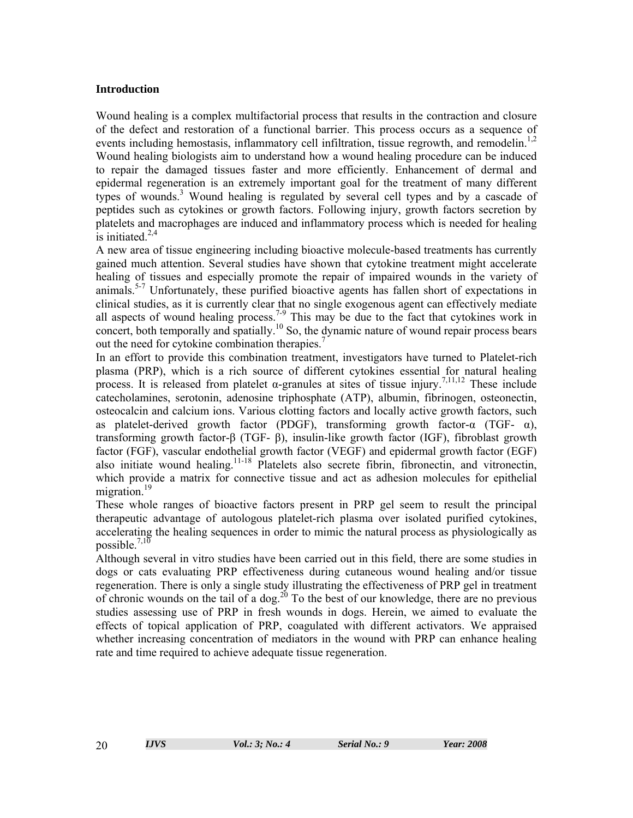## **Introduction**

Wound healing is a complex multifactorial process that results in the contraction and closure of the defect and restoration of a functional barrier. This process occurs as a sequence of events including hemostasis, inflammatory cell infiltration, tissue regrowth, and remodelin.<sup>1,2</sup> Wound healing biologists aim to understand how a wound healing procedure can be induced to repair the damaged tissues faster and more efficiently. Enhancement of dermal and epidermal regeneration is an extremely important goal for the treatment of many different types of wounds.3 Wound healing is regulated by several cell types and by a cascade of peptides such as cytokines or growth factors. Following injury, growth factors secretion by platelets and macrophages are induced and inflammatory process which is needed for healing is initiated. $2,4$ 

A new area of tissue engineering including bioactive molecule-based treatments has currently gained much attention. Several studies have shown that cytokine treatment might accelerate healing of tissues and especially promote the repair of impaired wounds in the variety of animals.<sup>5-7</sup> Unfortunately, these purified bioactive agents has fallen short of expectations in clinical studies, as it is currently clear that no single exogenous agent can effectively mediate all aspects of wound healing process.<sup>7-9</sup> This may be due to the fact that cytokines work in concert, both temporally and spatially.<sup>10</sup> So, the dynamic nature of wound repair process bears out the need for cytokine combination therapies.<sup>7</sup>

In an effort to provide this combination treatment, investigators have turned to Platelet-rich plasma (PRP), which is a rich source of different cytokines essential for natural healing process. It is released from platelet α-granules at sites of tissue injury.<sup>7,11,12</sup> These include catecholamines, serotonin, adenosine triphosphate (ATP), albumin, fibrinogen, osteonectin, osteocalcin and calcium ions. Various clotting factors and locally active growth factors, such as platelet-derived growth factor (PDGF), transforming growth factor- $\alpha$  (TGF-  $\alpha$ ), transforming growth factor-β (TGF- β), insulin-like growth factor (IGF), fibroblast growth factor (FGF), vascular endothelial growth factor (VEGF) and epidermal growth factor (EGF) also initiate wound healing.<sup>11-18</sup> Platelets also secrete fibrin, fibronectin, and vitronectin, which provide a matrix for connective tissue and act as adhesion molecules for epithelial migration.<sup>19</sup>

These whole ranges of bioactive factors present in PRP gel seem to result the principal therapeutic advantage of autologous platelet-rich plasma over isolated purified cytokines, accelerating the healing sequences in order to mimic the natural process as physiologically as possible. $^{7,10}$ 

Although several in vitro studies have been carried out in this field, there are some studies in dogs or cats evaluating PRP effectiveness during cutaneous wound healing and/or tissue regeneration. There is only a single study illustrating the effectiveness of PRP gel in treatment of chronic wounds on the tail of a dog.20 To the best of our knowledge, there are no previous studies assessing use of PRP in fresh wounds in dogs. Herein, we aimed to evaluate the effects of topical application of PRP, coagulated with different activators. We appraised whether increasing concentration of mediators in the wound with PRP can enhance healing rate and time required to achieve adequate tissue regeneration.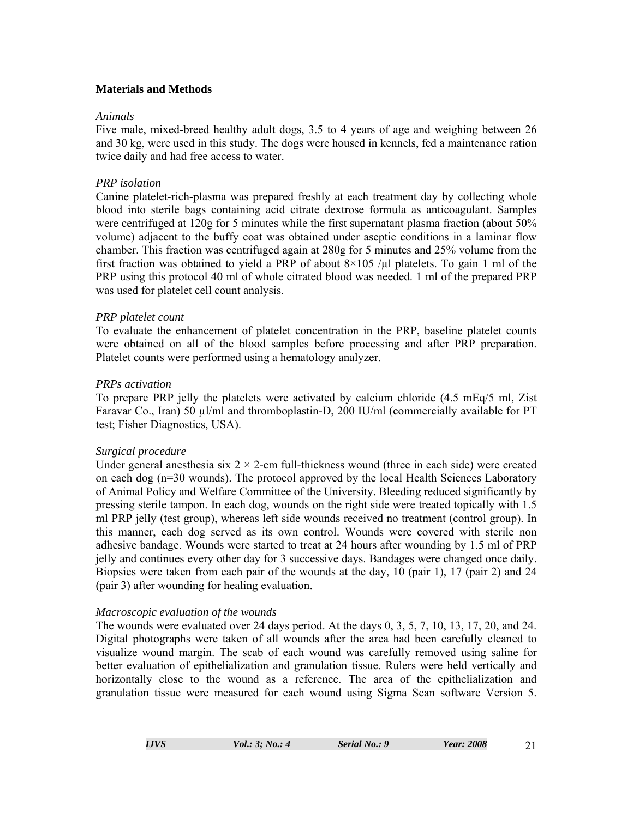# **Materials and Methods**

## *Animals*

Five male, mixed-breed healthy adult dogs, 3.5 to 4 years of age and weighing between 26 and 30 kg, were used in this study. The dogs were housed in kennels, fed a maintenance ration twice daily and had free access to water.

# *PRP isolation*

Canine platelet-rich-plasma was prepared freshly at each treatment day by collecting whole blood into sterile bags containing acid citrate dextrose formula as anticoagulant. Samples were centrifuged at 120g for 5 minutes while the first supernatant plasma fraction (about 50% volume) adjacent to the buffy coat was obtained under aseptic conditions in a laminar flow chamber. This fraction was centrifuged again at 280g for 5 minutes and 25% volume from the first fraction was obtained to yield a PRP of about  $8\times105$  / $\mu$ l platelets. To gain 1 ml of the PRP using this protocol 40 ml of whole citrated blood was needed. 1 ml of the prepared PRP was used for platelet cell count analysis.

# *PRP platelet count*

To evaluate the enhancement of platelet concentration in the PRP, baseline platelet counts were obtained on all of the blood samples before processing and after PRP preparation. Platelet counts were performed using a hematology analyzer.

# *PRPs activation*

To prepare PRP jelly the platelets were activated by calcium chloride (4.5 mEq/5 ml, Zist Faravar Co., Iran) 50 µl/ml and thromboplastin-D, 200 IU/ml (commercially available for PT test; Fisher Diagnostics, USA).

## *Surgical procedure*

Under general anesthesia six  $2 \times 2$ -cm full-thickness wound (three in each side) were created on each dog (n=30 wounds). The protocol approved by the local Health Sciences Laboratory of Animal Policy and Welfare Committee of the University. Bleeding reduced significantly by pressing sterile tampon. In each dog, wounds on the right side were treated topically with 1.5 ml PRP jelly (test group), whereas left side wounds received no treatment (control group). In this manner, each dog served as its own control. Wounds were covered with sterile non adhesive bandage. Wounds were started to treat at 24 hours after wounding by 1.5 ml of PRP jelly and continues every other day for 3 successive days. Bandages were changed once daily. Biopsies were taken from each pair of the wounds at the day, 10 (pair 1), 17 (pair 2) and 24 (pair 3) after wounding for healing evaluation.

## *Macroscopic evaluation of the wounds*

The wounds were evaluated over 24 days period. At the days 0, 3, 5, 7, 10, 13, 17, 20, and 24. Digital photographs were taken of all wounds after the area had been carefully cleaned to visualize wound margin. The scab of each wound was carefully removed using saline for better evaluation of epithelialization and granulation tissue. Rulers were held vertically and horizontally close to the wound as a reference. The area of the epithelialization and granulation tissue were measured for each wound using Sigma Scan software Version 5.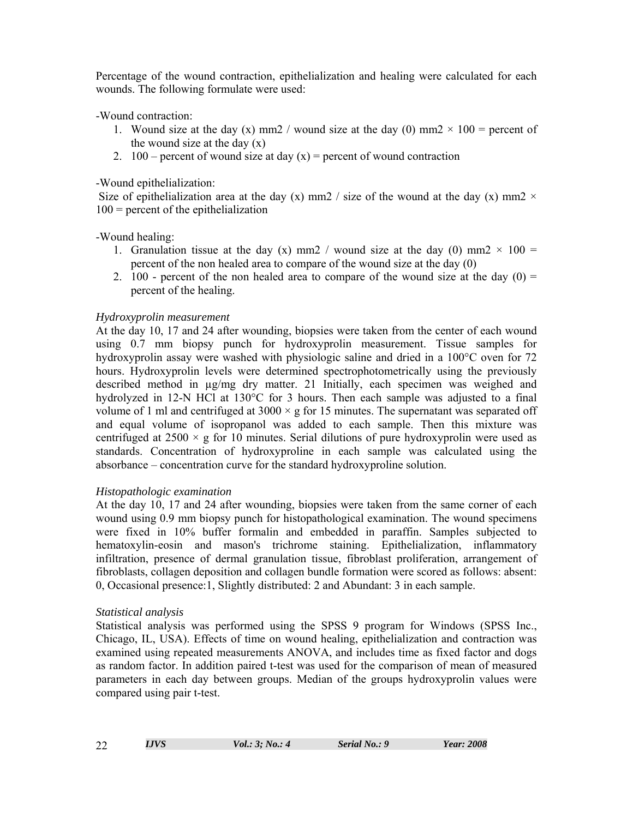Percentage of the wound contraction, epithelialization and healing were calculated for each wounds. The following formulate were used:

-Wound contraction:

- 1. Wound size at the day (x) mm2 / wound size at the day (0) mm2  $\times$  100 = percent of the wound size at the day  $(x)$
- 2. 100 percent of wound size at day  $(x)$  = percent of wound contraction

-Wound epithelialization:

Size of epithelialization area at the day (x) mm2 / size of the wound at the day (x) mm2  $\times$  $100$  = percent of the epithelialization

-Wound healing:

- 1. Granulation tissue at the day (x) mm2 / wound size at the day (0) mm2  $\times$  100 = percent of the non healed area to compare of the wound size at the day (0)
- 2. 100 percent of the non healed area to compare of the wound size at the day  $(0)$  = percent of the healing.

# *Hydroxyprolin measurement*

At the day 10, 17 and 24 after wounding, biopsies were taken from the center of each wound using 0.7 mm biopsy punch for hydroxyprolin measurement. Tissue samples for hydroxyprolin assay were washed with physiologic saline and dried in a 100°C oven for 72 hours. Hydroxyprolin levels were determined spectrophotometrically using the previously described method in µg/mg dry matter. 21 Initially, each specimen was weighed and hydrolyzed in 12-N HCl at 130°C for 3 hours. Then each sample was adjusted to a final volume of 1 ml and centrifuged at  $3000 \times g$  for 15 minutes. The supernatant was separated off and equal volume of isopropanol was added to each sample. Then this mixture was centrifuged at  $2500 \times g$  for 10 minutes. Serial dilutions of pure hydroxyprolin were used as standards. Concentration of hydroxyproline in each sample was calculated using the absorbance – concentration curve for the standard hydroxyproline solution.

# *Histopathologic examination*

At the day 10, 17 and 24 after wounding, biopsies were taken from the same corner of each wound using 0.9 mm biopsy punch for histopathological examination. The wound specimens were fixed in 10% buffer formalin and embedded in paraffin. Samples subjected to hematoxylin-eosin and mason's trichrome staining. Epithelialization, inflammatory infiltration, presence of dermal granulation tissue, fibroblast proliferation, arrangement of fibroblasts, collagen deposition and collagen bundle formation were scored as follows: absent: 0, Occasional presence:1, Slightly distributed: 2 and Abundant: 3 in each sample.

# *Statistical analysis*

Statistical analysis was performed using the SPSS 9 program for Windows (SPSS Inc., Chicago, IL, USA). Effects of time on wound healing, epithelialization and contraction was examined using repeated measurements ANOVA, and includes time as fixed factor and dogs as random factor. In addition paired t-test was used for the comparison of mean of measured parameters in each day between groups. Median of the groups hydroxyprolin values were compared using pair t-test.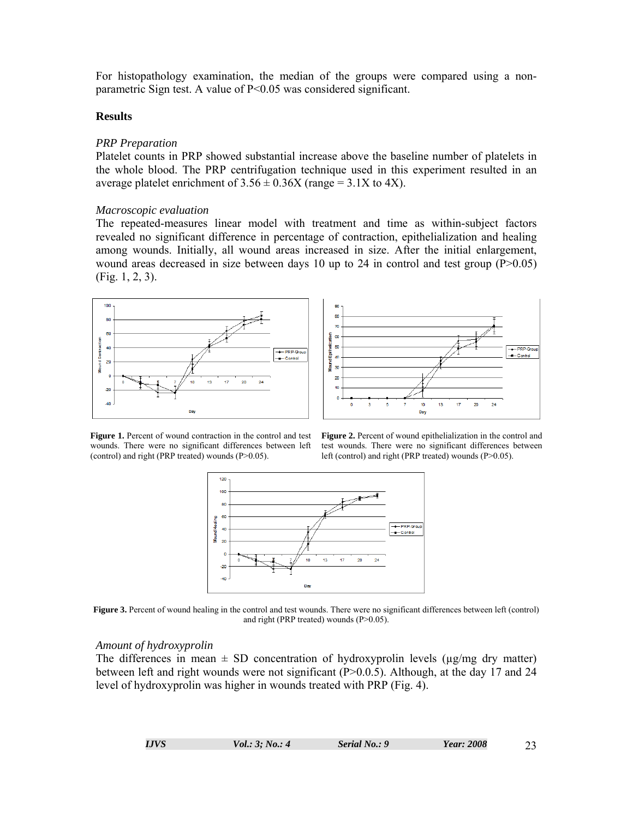For histopathology examination, the median of the groups were compared using a nonparametric Sign test. A value of P<0.05 was considered significant.

#### **Results**

#### *PRP Preparation*

Platelet counts in PRP showed substantial increase above the baseline number of platelets in the whole blood. The PRP centrifugation technique used in this experiment resulted in an average platelet enrichment of  $3.56 \pm 0.36X$  (range = 3.1X to 4X).

#### *Macroscopic evaluation*

The repeated-measures linear model with treatment and time as within-subject factors revealed no significant difference in percentage of contraction, epithelialization and healing among wounds. Initially, all wound areas increased in size. After the initial enlargement, wound areas decreased in size between days 10 up to 24 in control and test group (P>0.05) (Fig. 1, 2, 3).





**Figure 1.** Percent of wound contraction in the control and test wounds. There were no significant differences between left (control) and right (PRP treated) wounds (P>0.05).

**Figure 2.** Percent of wound epithelialization in the control and test wounds. There were no significant differences between left (control) and right (PRP treated) wounds (P>0.05).



**Figure 3.** Percent of wound healing in the control and test wounds. There were no significant differences between left (control) and right (PRP treated) wounds (P>0.05).

#### *Amount of hydroxyprolin*

The differences in mean  $\pm$  SD concentration of hydroxyprolin levels ( $\mu$ g/mg dry matter) between left and right wounds were not significant (P>0.0.5). Although, at the day 17 and 24 level of hydroxyprolin was higher in wounds treated with PRP (Fig. 4).

| I.JVS | Vol.: 3: No.: 4 | Serial No.: 9 | Year: 2008 | 23 |
|-------|-----------------|---------------|------------|----|
|       |                 |               |            |    |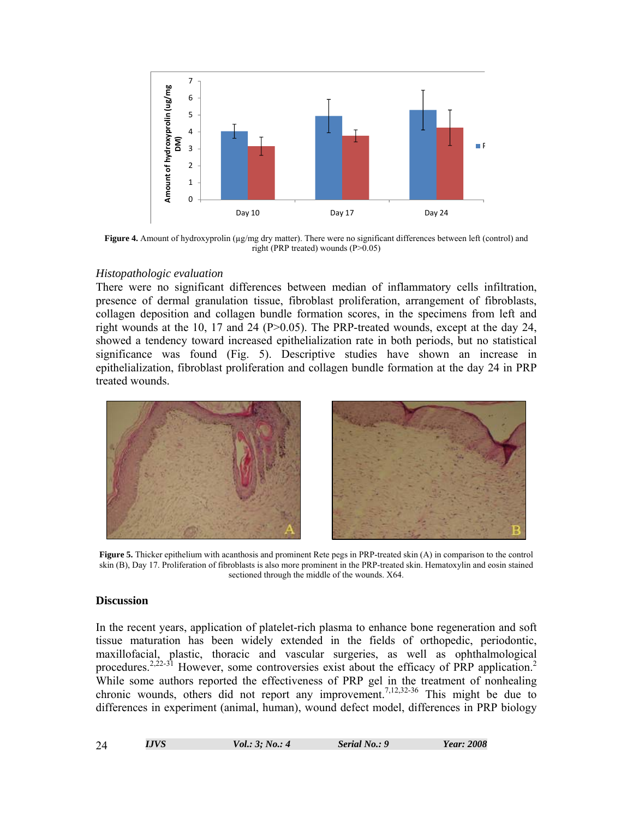

**Figure 4.** Amount of hydroxyprolin ( $\mu$ g/mg dry matter). There were no significant differences between left (control) and right (PRP treated) wounds (P>0.05)

## *Histopathologic evaluation*

There were no significant differences between median of inflammatory cells infiltration, presence of dermal granulation tissue, fibroblast proliferation, arrangement of fibroblasts, collagen deposition and collagen bundle formation scores, in the specimens from left and right wounds at the 10, 17 and 24 ( $P > 0.05$ ). The PRP-treated wounds, except at the day 24, showed a tendency toward increased epithelialization rate in both periods, but no statistical significance was found (Fig. 5). Descriptive studies have shown an increase in epithelialization, fibroblast proliferation and collagen bundle formation at the day 24 in PRP treated wounds.



**Figure 5.** Thicker epithelium with acanthosis and prominent Rete pegs in PRP-treated skin (A) in comparison to the control skin (B), Day 17. Proliferation of fibroblasts is also more prominent in the PRP-treated skin. Hematoxylin and eosin stained sectioned through the middle of the wounds. X64.

## **Discussion**

In the recent years, application of platelet-rich plasma to enhance bone regeneration and soft tissue maturation has been widely extended in the fields of orthopedic, periodontic, maxillofacial, plastic, thoracic and vascular surgeries, as well as ophthalmological procedures.<sup>2,22-31</sup> However, some controversies exist about the efficacy of PRP application.<sup>2</sup> While some authors reported the effectiveness of PRP gel in the treatment of nonhealing chronic wounds, others did not report any improvement.<sup>7,12,32-36</sup> This might be due to differences in experiment (animal, human), wound defect model, differences in PRP biology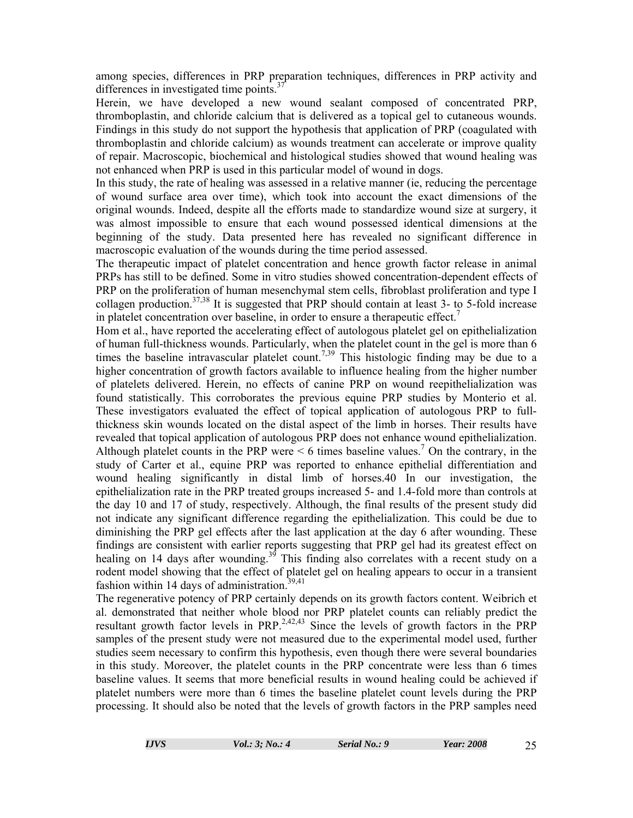among species, differences in PRP preparation techniques, differences in PRP activity and differences in investigated time points.<sup>3</sup>

Herein, we have developed a new wound sealant composed of concentrated PRP, thromboplastin, and chloride calcium that is delivered as a topical gel to cutaneous wounds. Findings in this study do not support the hypothesis that application of PRP (coagulated with thromboplastin and chloride calcium) as wounds treatment can accelerate or improve quality of repair. Macroscopic, biochemical and histological studies showed that wound healing was not enhanced when PRP is used in this particular model of wound in dogs.

In this study, the rate of healing was assessed in a relative manner (ie, reducing the percentage of wound surface area over time), which took into account the exact dimensions of the original wounds. Indeed, despite all the efforts made to standardize wound size at surgery, it was almost impossible to ensure that each wound possessed identical dimensions at the beginning of the study. Data presented here has revealed no significant difference in macroscopic evaluation of the wounds during the time period assessed.

The therapeutic impact of platelet concentration and hence growth factor release in animal PRPs has still to be defined. Some in vitro studies showed concentration-dependent effects of PRP on the proliferation of human mesenchymal stem cells, fibroblast proliferation and type I collagen production.<sup>37,38</sup> It is suggested that PRP should contain at least 3- to 5-fold increase in platelet concentration over baseline, in order to ensure a therapeutic effect.<sup>7</sup>

Hom et al., have reported the accelerating effect of autologous platelet gel on epithelialization of human full-thickness wounds. Particularly, when the platelet count in the gel is more than 6 times the baseline intravascular platelet count.<sup>7,39</sup> This histologic finding may be due to a higher concentration of growth factors available to influence healing from the higher number of platelets delivered. Herein, no effects of canine PRP on wound reepithelialization was found statistically. This corroborates the previous equine PRP studies by Monterio et al. These investigators evaluated the effect of topical application of autologous PRP to fullthickness skin wounds located on the distal aspect of the limb in horses. Their results have revealed that topical application of autologous PRP does not enhance wound epithelialization. Although platelet counts in the PRP were  $\leq 6$  times baseline values.<sup>7</sup> On the contrary, in the study of Carter et al., equine PRP was reported to enhance epithelial differentiation and wound healing significantly in distal limb of horses.40 In our investigation, the epithelialization rate in the PRP treated groups increased 5- and 1.4-fold more than controls at the day 10 and 17 of study, respectively. Although, the final results of the present study did not indicate any significant difference regarding the epithelialization. This could be due to diminishing the PRP gel effects after the last application at the day 6 after wounding. These findings are consistent with earlier reports suggesting that PRP gel had its greatest effect on healing on 14 days after wounding.<sup>39</sup> This finding also correlates with a recent study on a rodent model showing that the effect of platelet gel on healing appears to occur in a transient fashion within 14 days of administration.<sup>39,41</sup>

The regenerative potency of PRP certainly depends on its growth factors content. Weibrich et al. demonstrated that neither whole blood nor PRP platelet counts can reliably predict the resultant growth factor levels in PRP.<sup>2,42,43</sup> Since the levels of growth factors in the PRP samples of the present study were not measured due to the experimental model used, further studies seem necessary to confirm this hypothesis, even though there were several boundaries in this study. Moreover, the platelet counts in the PRP concentrate were less than 6 times baseline values. It seems that more beneficial results in wound healing could be achieved if platelet numbers were more than 6 times the baseline platelet count levels during the PRP processing. It should also be noted that the levels of growth factors in the PRP samples need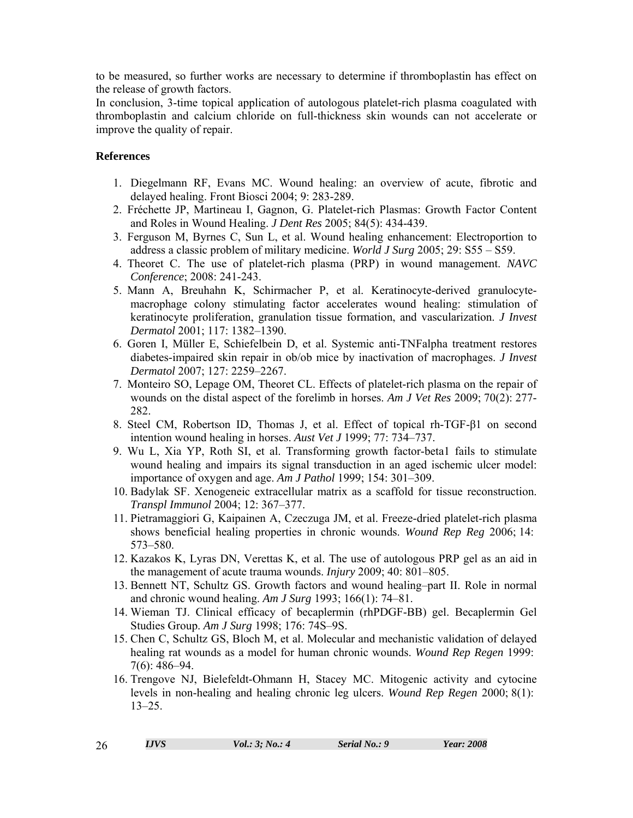to be measured, so further works are necessary to determine if thromboplastin has effect on the release of growth factors.

In conclusion, 3-time topical application of autologous platelet-rich plasma coagulated with thromboplastin and calcium chloride on full-thickness skin wounds can not accelerate or improve the quality of repair.

# **References**

- 1. Diegelmann RF, Evans MC. Wound healing: an overview of acute, fibrotic and delayed healing. Front Biosci 2004; 9: 283-289.
- 2. Fréchette JP, Martineau I, Gagnon, G. Platelet-rich Plasmas: Growth Factor Content and Roles in Wound Healing. *J Dent Res* 2005; 84(5): 434-439.
- 3. Ferguson M, Byrnes C, Sun L, et al. Wound healing enhancement: Electroportion to address a classic problem of military medicine. *World J Surg* 2005; 29: S55 – S59.
- 4. Theoret C. The use of platelet-rich plasma (PRP) in wound management. *NAVC Conference*; 2008: 241-243.
- 5. Mann A, Breuhahn K, Schirmacher P, et al. Keratinocyte-derived granulocytemacrophage colony stimulating factor accelerates wound healing: stimulation of keratinocyte proliferation, granulation tissue formation, and vascularization. *J Invest Dermatol* 2001; 117: 1382–1390.
- 6. Goren I, Müller E, Schiefelbein D, et al. Systemic anti-TNFalpha treatment restores diabetes-impaired skin repair in ob/ob mice by inactivation of macrophages. *J Invest Dermatol* 2007; 127: 2259–2267.
- 7. Monteiro SO, Lepage OM, Theoret CL. Effects of platelet-rich plasma on the repair of wounds on the distal aspect of the forelimb in horses. *Am J Vet Res* 2009; 70(2): 277- 282.
- 8. Steel CM, Robertson ID, Thomas J, et al. Effect of topical rh-TGF-β1 on second intention wound healing in horses. *Aust Vet J* 1999; 77: 734–737.
- 9. Wu L, Xia YP, Roth SI, et al. Transforming growth factor-beta1 fails to stimulate wound healing and impairs its signal transduction in an aged ischemic ulcer model: importance of oxygen and age. *Am J Pathol* 1999; 154: 301–309.
- 10. Badylak SF. Xenogeneic extracellular matrix as a scaffold for tissue reconstruction. *Transpl Immunol* 2004; 12: 367–377.
- 11. Pietramaggiori G, Kaipainen A, Czeczuga JM, et al. Freeze-dried platelet-rich plasma shows beneficial healing properties in chronic wounds. *Wound Rep Reg* 2006; 14: 573–580.
- 12. Kazakos K, Lyras DN, Verettas K, et al. The use of autologous PRP gel as an aid in the management of acute trauma wounds. *Injury* 2009; 40: 801–805.
- 13. Bennett NT, Schultz GS. Growth factors and wound healing–part II. Role in normal and chronic wound healing. *Am J Surg* 1993; 166(1): 74–81.
- 14. Wieman TJ. Clinical efficacy of becaplermin (rhPDGF-BB) gel. Becaplermin Gel Studies Group. *Am J Surg* 1998; 176: 74S–9S.
- 15. Chen C, Schultz GS, Bloch M, et al. Molecular and mechanistic validation of delayed healing rat wounds as a model for human chronic wounds. *Wound Rep Regen* 1999: 7(6): 486–94.
- 16. Trengove NJ, Bielefeldt-Ohmann H, Stacey MC. Mitogenic activity and cytocine levels in non-healing and healing chronic leg ulcers. *Wound Rep Regen* 2000; 8(1): 13–25.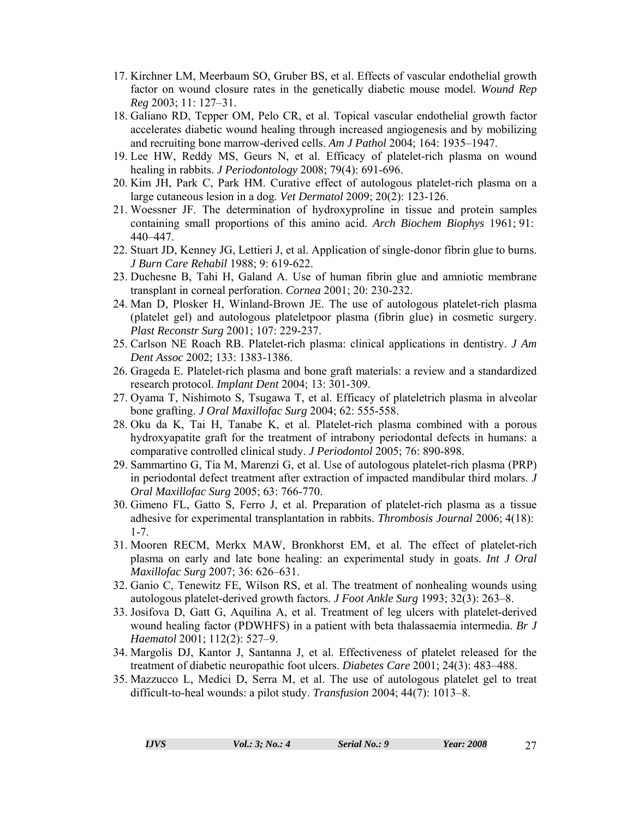- 17. Kirchner LM, Meerbaum SO, Gruber BS, et al. Effects of vascular endothelial growth factor on wound closure rates in the genetically diabetic mouse model. *Wound Rep Reg* 2003; 11: 127–31.
- 18. Galiano RD, Tepper OM, Pelo CR, et al. Topical vascular endothelial growth factor accelerates diabetic wound healing through increased angiogenesis and by mobilizing and recruiting bone marrow-derived cells. *Am J Pathol* 2004; 164: 1935–1947.
- 19. Lee HW, Reddy MS, Geurs N, et al. Efficacy of platelet-rich plasma on wound healing in rabbits. *J Periodontology* 2008; 79(4): 691-696.
- 20. Kim JH, Park C, Park HM. Curative effect of autologous platelet-rich plasma on a large cutaneous lesion in a dog. *Vet Dermatol* 2009; 20(2): 123-126.
- 21. Woessner JF. The determination of hydroxyproline in tissue and protein samples containing small proportions of this amino acid. *Arch Biochem Biophys* 1961; 91: 440–447.
- 22. Stuart JD, Kenney JG, Lettieri J, et al. Application of single-donor fibrin glue to burns. *J Burn Care Rehabil* 1988; 9: 619-622.
- 23. Duchesne B, Tahi H, Galand A. Use of human fibrin glue and amniotic membrane transplant in corneal perforation. *Cornea* 2001; 20: 230-232.
- 24. Man D, Plosker H, Winland-Brown JE. The use of autologous platelet-rich plasma (platelet gel) and autologous plateletpoor plasma (fibrin glue) in cosmetic surgery. *Plast Reconstr Surg* 2001; 107: 229-237.
- 25. Carlson NE Roach RB. Platelet-rich plasma: clinical applications in dentistry. *J Am Dent Assoc* 2002; 133: 1383-1386.
- 26. Grageda E. Platelet-rich plasma and bone graft materials: a review and a standardized research protocol. *Implant Dent* 2004; 13: 301-309.
- 27. Oyama T, Nishimoto S, Tsugawa T, et al. Efficacy of plateletrich plasma in alveolar bone grafting. *J Oral Maxillofac Surg* 2004; 62: 555-558.
- 28. Oku da K, Tai H, Tanabe K, et al. Platelet-rich plasma combined with a porous hydroxyapatite graft for the treatment of intrabony periodontal defects in humans: a comparative controlled clinical study. *J Periodontol* 2005; 76: 890-898.
- 29. Sammartino G, Tia M, Marenzi G, et al. Use of autologous platelet-rich plasma (PRP) in periodontal defect treatment after extraction of impacted mandibular third molars. *J Oral Maxillofac Surg* 2005; 63: 766-770.
- 30. Gimeno FL, Gatto S, Ferro J, et al. Preparation of platelet-rich plasma as a tissue adhesive for experimental transplantation in rabbits. *Thrombosis Journal* 2006; 4(18): 1-7.
- 31. Mooren RECM, Merkx MAW, Bronkhorst EM, et al. The effect of platelet-rich plasma on early and late bone healing: an experimental study in goats. *Int J Oral Maxillofac Surg* 2007; 36: 626–631.
- 32. Ganio C, Tenewitz FE, Wilson RS, et al. The treatment of nonhealing wounds using autologous platelet-derived growth factors. *J Foot Ankle Surg* 1993; 32(3): 263–8.
- 33. Josifova D, Gatt G, Aquilina A, et al. Treatment of leg ulcers with platelet-derived wound healing factor (PDWHFS) in a patient with beta thalassaemia intermedia. *Br J Haematol* 2001; 112(2): 527–9.
- 34. Margolis DJ, Kantor J, Santanna J, et al. Effectiveness of platelet released for the treatment of diabetic neuropathic foot ulcers. *Diabetes Care* 2001; 24(3): 483–488.
- 35. Mazzucco L, Medici D, Serra M, et al. The use of autologous platelet gel to treat difficult-to-heal wounds: a pilot study. *Transfusion* 2004; 44(7): 1013–8.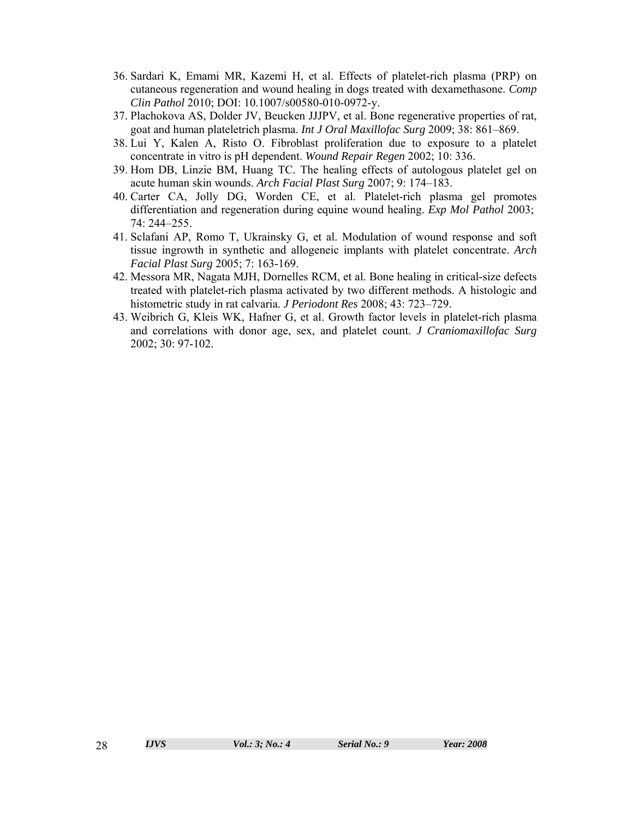- 36. Sardari K, Emami MR, Kazemi H, et al. Effects of platelet-rich plasma (PRP) on cutaneous regeneration and wound healing in dogs treated with dexamethasone. *Comp Clin Pathol* 2010; DOI: 10.1007/s00580-010-0972-y.
- 37. Plachokova AS, Dolder JV, Beucken JJJPV, et al. Bone regenerative properties of rat, goat and human plateletrich plasma. *Int J Oral Maxillofac Surg* 2009; 38: 861–869.
- 38. Lui Y, Kalen A, Risto O. Fibroblast proliferation due to exposure to a platelet concentrate in vitro is pH dependent. *Wound Repair Regen* 2002; 10: 336.
- 39. Hom DB, Linzie BM, Huang TC. The healing effects of autologous platelet gel on acute human skin wounds. *Arch Facial Plast Surg* 2007; 9: 174–183.
- 40. Carter CA, Jolly DG, Worden CE, et al. Platelet-rich plasma gel promotes differentiation and regeneration during equine wound healing. *Exp Mol Pathol* 2003; 74: 244–255.
- 41. Sclafani AP, Romo T, Ukrainsky G, et al. Modulation of wound response and soft tissue ingrowth in synthetic and allogeneic implants with platelet concentrate. *Arch Facial Plast Surg* 2005; 7: 163-169.
- 42. Messora MR, Nagata MJH, Dornelles RCM, et al. Bone healing in critical-size defects treated with platelet-rich plasma activated by two different methods. A histologic and histometric study in rat calvaria. *J Periodont Res* 2008; 43: 723–729.
- 43. Weibrich G, Kleis WK, Hafner G, et al. Growth factor levels in platelet-rich plasma and correlations with donor age, sex, and platelet count. *J Craniomaxillofac Surg* 2002; 30: 97-102.